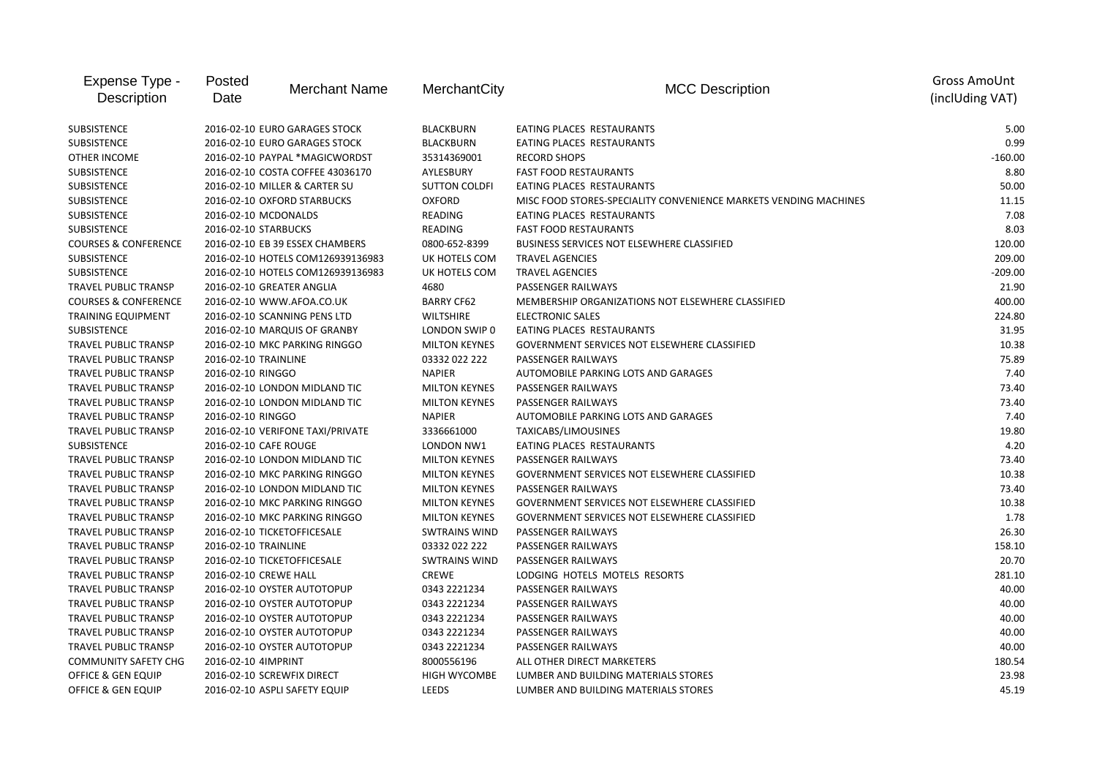| Expense Type -<br>Description   | Posted<br>Date        | <b>Merchant Name</b>              | MerchantCity         | <b>MCC Description</b>                                           | <b>Gross AmoUnt</b><br>(inclUding VAT) |
|---------------------------------|-----------------------|-----------------------------------|----------------------|------------------------------------------------------------------|----------------------------------------|
| <b>SUBSISTENCE</b>              |                       | 2016-02-10 EURO GARAGES STOCK     | <b>BLACKBURN</b>     | EATING PLACES RESTAURANTS                                        | 5.00                                   |
| <b>SUBSISTENCE</b>              |                       | 2016-02-10 EURO GARAGES STOCK     | <b>BLACKBURN</b>     | EATING PLACES RESTAURANTS                                        | 0.99                                   |
| OTHER INCOME                    |                       | 2016-02-10 PAYPAL *MAGICWORDST    | 35314369001          | <b>RECORD SHOPS</b>                                              | $-160.00$                              |
| SUBSISTENCE                     |                       | 2016-02-10 COSTA COFFEE 43036170  | AYLESBURY            | <b>FAST FOOD RESTAURANTS</b>                                     | 8.80                                   |
| SUBSISTENCE                     |                       | 2016-02-10 MILLER & CARTER SU     | <b>SUTTON COLDFI</b> | EATING PLACES RESTAURANTS                                        | 50.00                                  |
| SUBSISTENCE                     |                       | 2016-02-10 OXFORD STARBUCKS       | <b>OXFORD</b>        | MISC FOOD STORES-SPECIALITY CONVENIENCE MARKETS VENDING MACHINES | 11.15                                  |
| SUBSISTENCE                     | 2016-02-10 MCDONALDS  |                                   | READING              | EATING PLACES RESTAURANTS                                        | 7.08                                   |
| SUBSISTENCE                     | 2016-02-10 STARBUCKS  |                                   | READING              | <b>FAST FOOD RESTAURANTS</b>                                     | 8.03                                   |
| <b>COURSES &amp; CONFERENCE</b> |                       | 2016-02-10 EB 39 ESSEX CHAMBERS   | 0800-652-8399        | BUSINESS SERVICES NOT ELSEWHERE CLASSIFIED                       | 120.00                                 |
| SUBSISTENCE                     |                       | 2016-02-10 HOTELS COM126939136983 | UK HOTELS COM        | <b>TRAVEL AGENCIES</b>                                           | 209.00                                 |
| SUBSISTENCE                     |                       | 2016-02-10 HOTELS COM126939136983 | UK HOTELS COM        | <b>TRAVEL AGENCIES</b>                                           | $-209.00$                              |
| TRAVEL PUBLIC TRANSP            |                       | 2016-02-10 GREATER ANGLIA         | 4680                 | PASSENGER RAILWAYS                                               | 21.90                                  |
| <b>COURSES &amp; CONFERENCE</b> |                       | 2016-02-10 WWW.AFOA.CO.UK         | <b>BARRY CF62</b>    | MEMBERSHIP ORGANIZATIONS NOT ELSEWHERE CLASSIFIED                | 400.00                                 |
| <b>TRAINING EQUIPMENT</b>       |                       | 2016-02-10 SCANNING PENS LTD      | <b>WILTSHIRE</b>     | <b>ELECTRONIC SALES</b>                                          | 224.80                                 |
| <b>SUBSISTENCE</b>              |                       | 2016-02-10 MARQUIS OF GRANBY      | LONDON SWIP 0        | EATING PLACES RESTAURANTS                                        | 31.95                                  |
| TRAVEL PUBLIC TRANSP            |                       | 2016-02-10 MKC PARKING RINGGO     | <b>MILTON KEYNES</b> | GOVERNMENT SERVICES NOT ELSEWHERE CLASSIFIED                     | 10.38                                  |
| TRAVEL PUBLIC TRANSP            | 2016-02-10 TRAINLINE  |                                   | 03332 022 222        | PASSENGER RAILWAYS                                               | 75.89                                  |
| TRAVEL PUBLIC TRANSP            | 2016-02-10 RINGGO     |                                   | <b>NAPIER</b>        | AUTOMOBILE PARKING LOTS AND GARAGES                              | 7.40                                   |
| <b>TRAVEL PUBLIC TRANSP</b>     |                       | 2016-02-10 LONDON MIDLAND TIC     | <b>MILTON KEYNES</b> | PASSENGER RAILWAYS                                               | 73.40                                  |
| TRAVEL PUBLIC TRANSP            |                       | 2016-02-10 LONDON MIDLAND TIC     | <b>MILTON KEYNES</b> | PASSENGER RAILWAYS                                               | 73.40                                  |
| TRAVEL PUBLIC TRANSP            | 2016-02-10 RINGGO     |                                   | <b>NAPIER</b>        | AUTOMOBILE PARKING LOTS AND GARAGES                              | 7.40                                   |
| TRAVEL PUBLIC TRANSP            |                       | 2016-02-10 VERIFONE TAXI/PRIVATE  | 3336661000           | TAXICABS/LIMOUSINES                                              | 19.80                                  |
| SUBSISTENCE                     | 2016-02-10 CAFE ROUGE |                                   | LONDON NW1           | EATING PLACES RESTAURANTS                                        | 4.20                                   |
| TRAVEL PUBLIC TRANSP            |                       | 2016-02-10 LONDON MIDLAND TIC     | <b>MILTON KEYNES</b> | PASSENGER RAILWAYS                                               | 73.40                                  |
| TRAVEL PUBLIC TRANSP            |                       | 2016-02-10 MKC PARKING RINGGO     | <b>MILTON KEYNES</b> | GOVERNMENT SERVICES NOT ELSEWHERE CLASSIFIED                     | 10.38                                  |
| TRAVEL PUBLIC TRANSP            |                       | 2016-02-10 LONDON MIDLAND TIC     | <b>MILTON KEYNES</b> | PASSENGER RAILWAYS                                               | 73.40                                  |
| TRAVEL PUBLIC TRANSP            |                       | 2016-02-10 MKC PARKING RINGGO     | <b>MILTON KEYNES</b> | <b>GOVERNMENT SERVICES NOT ELSEWHERE CLASSIFIED</b>              | 10.38                                  |
| <b>TRAVEL PUBLIC TRANSP</b>     |                       | 2016-02-10 MKC PARKING RINGGO     | <b>MILTON KEYNES</b> | <b>GOVERNMENT SERVICES NOT ELSEWHERE CLASSIFIED</b>              | 1.78                                   |
| TRAVEL PUBLIC TRANSP            |                       | 2016-02-10 TICKETOFFICESALE       | <b>SWTRAINS WIND</b> | PASSENGER RAILWAYS                                               | 26.30                                  |
| TRAVEL PUBLIC TRANSP            | 2016-02-10 TRAINLINE  |                                   | 03332 022 222        | PASSENGER RAILWAYS                                               | 158.10                                 |
| <b>TRAVEL PUBLIC TRANSP</b>     |                       | 2016-02-10 TICKETOFFICESALE       | <b>SWTRAINS WIND</b> | <b>PASSENGER RAILWAYS</b>                                        | 20.70                                  |
| <b>TRAVEL PUBLIC TRANSP</b>     | 2016-02-10 CREWE HALL |                                   | <b>CREWE</b>         | LODGING HOTELS MOTELS RESORTS                                    | 281.10                                 |
| TRAVEL PUBLIC TRANSP            |                       | 2016-02-10 OYSTER AUTOTOPUP       | 0343 2221234         | PASSENGER RAILWAYS                                               | 40.00                                  |
| TRAVEL PUBLIC TRANSP            |                       | 2016-02-10 OYSTER AUTOTOPUP       | 0343 2221234         | PASSENGER RAILWAYS                                               | 40.00                                  |
| TRAVEL PUBLIC TRANSP            |                       | 2016-02-10 OYSTER AUTOTOPUP       | 0343 2221234         | <b>PASSENGER RAILWAYS</b>                                        | 40.00                                  |
| TRAVEL PUBLIC TRANSP            |                       | 2016-02-10 OYSTER AUTOTOPUP       | 0343 2221234         | PASSENGER RAILWAYS                                               | 40.00                                  |
| TRAVEL PUBLIC TRANSP            |                       | 2016-02-10 OYSTER AUTOTOPUP       | 0343 2221234         | PASSENGER RAILWAYS                                               | 40.00                                  |
| <b>COMMUNITY SAFETY CHG</b>     | 2016-02-10 4IMPRINT   |                                   | 8000556196           | ALL OTHER DIRECT MARKETERS                                       | 180.54                                 |
| OFFICE & GEN EQUIP              |                       | 2016-02-10 SCREWFIX DIRECT        | <b>HIGH WYCOMBE</b>  | LUMBER AND BUILDING MATERIALS STORES                             | 23.98                                  |
| OFFICE & GEN EQUIP              |                       | 2016-02-10 ASPLI SAFETY EQUIP     | LEEDS                | LUMBER AND BUILDING MATERIALS STORES                             | 45.19                                  |